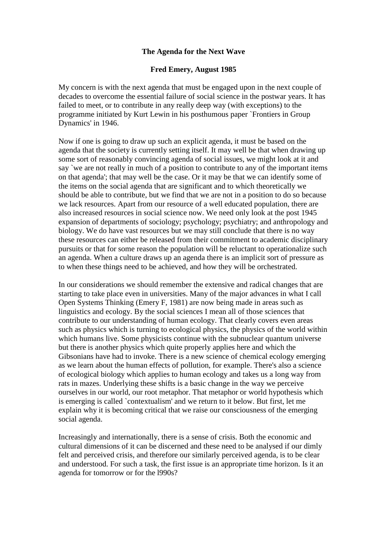## **The Agenda for the Next Wave**

## **Fred Emery, August 1985**

My concern is with the next agenda that must be engaged upon in the next couple of decades to overcome the essential failure of social science in the postwar years. It has failed to meet, or to contribute in any really deep way (with exceptions) to the programme initiated by Kurt Lewin in his posthumous paper `Frontiers in Group Dynamics' in 1946.

Now if one is going to draw up such an explicit agenda, it must be based on the agenda that the society is currently setting itself. It may well be that when drawing up some sort of reasonably convincing agenda of social issues, we might look at it and say `we are not really in much of a position to contribute to any of the important items on that agenda'; that may well be the case. Or it may be that we can identify some of the items on the social agenda that are significant and to which theoretically we should be able to contribute, but we find that we are not in a position to do so because we lack resources. Apart from our resource of a well educated population, there are also increased resources in social science now. We need only look at the post 1945 expansion of departments of sociology; psychology; psychiatry; and anthropology and biology. We do have vast resources but we may still conclude that there is no way these resources can either be released from their commitment to academic disciplinary pursuits or that for some reason the population will be reluctant to operationalize such an agenda. When a culture draws up an agenda there is an implicit sort of pressure as to when these things need to be achieved, and how they will be orchestrated.

In our considerations we should remember the extensive and radical changes that are starting to take place even in universities. Many of the major advances in what I call Open Systems Thinking (Emery F, 1981) are now being made in areas such as linguistics and ecology. By the social sciences I mean all of those sciences that contribute to our understanding of human ecology. That clearly covers even areas such as physics which is turning to ecological physics, the physics of the world within which humans live. Some physicists continue with the subnuclear quantum universe but there is another physics which quite properly applies here and which the Gibsonians have had to invoke. There is a new science of chemical ecology emerging as we learn about the human effects of pollution, for example. There's also a science of ecological biology which applies to human ecology and takes us a long way from rats in mazes. Underlying these shifts is a basic change in the way we perceive ourselves in our world, our root metaphor. That metaphor or world hypothesis which is emerging is called `contextualism' and we return to it below. But first, let me explain why it is becoming critical that we raise our consciousness of the emerging social agenda.

Increasingly and internationally, there is a sense of crisis. Both the economic and cultural dimensions of it can be discerned and these need to be analysed if our dimly felt and perceived crisis, and therefore our similarly perceived agenda, is to be clear and understood. For such a task, the first issue is an appropriate time horizon. Is it an agenda for tomorrow or for the l990s?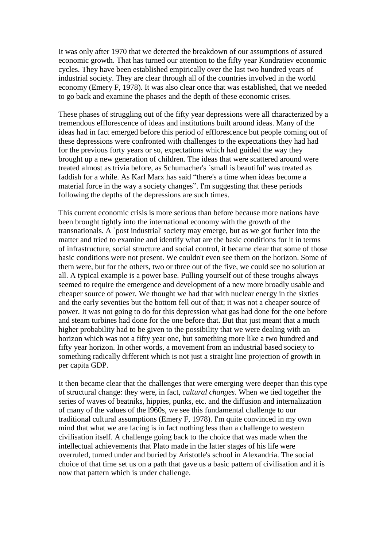It was only after 1970 that we detected the breakdown of our assumptions of assured economic growth. That has turned our attention to the fifty year Kondratiev economic cycles. They have been established empirically over the last two hundred years of industrial society. They are clear through all of the countries involved in the world economy (Emery F, 1978). It was also clear once that was established, that we needed to go back and examine the phases and the depth of these economic crises.

These phases of struggling out of the fifty year depressions were all characterized by a tremendous efflorescence of ideas and institutions built around ideas. Many of the ideas had in fact emerged before this period of efflorescence but people coming out of these depressions were confronted with challenges to the expectations they had had for the previous forty years or so, expectations which had guided the way they brought up a new generation of children. The ideas that were scattered around were treated almost as trivia before, as Schumacher's `small is beautiful' was treated as faddish for a while. As Karl Marx has said "there's a time when ideas become a material force in the way a society changes". I'm suggesting that these periods following the depths of the depressions are such times.

This current economic crisis is more serious than before because more nations have been brought tightly into the international economy with the growth of the transnationals. A `post industrial' society may emerge, but as we got further into the matter and tried to examine and identify what are the basic conditions for it in terms of infrastructure, social structure and social control, it became clear that some of those basic conditions were not present. We couldn't even see them on the horizon. Some of them were, but for the others, two or three out of the five, we could see no solution at all. A typical example is a power base. Pulling yourself out of these troughs always seemed to require the emergence and development of a new more broadly usable and cheaper source of power. We thought we had that with nuclear energy in the sixties and the early seventies but the bottom fell out of that; it was not a cheaper source of power. It was not going to do for this depression what gas had done for the one before and steam turbines had done for the one before that. But that just meant that a much higher probability had to be given to the possibility that we were dealing with an horizon which was not a fifty year one, but something more like a two hundred and fifty year horizon. In other words, a movement from an industrial based society to something radically different which is not just a straight line projection of growth in per capita GDP.

It then became clear that the challenges that were emerging were deeper than this type of structural change: they were, in fact, *cultural changes*. When we tied together the series of waves of beatniks, hippies, punks, etc. and the diffusion and internalization of many of the values of the l960s, we see this fundamental challenge to our traditional cultural assumptions (Emery F, 1978). I'm quite convinced in my own mind that what we are facing is in fact nothing less than a challenge to western civilisation itself. A challenge going back to the choice that was made when the intellectual achievements that Plato made in the latter stages of his life were overruled, turned under and buried by Aristotle's school in Alexandria. The social choice of that time set us on a path that gave us a basic pattern of civilisation and it is now that pattern which is under challenge.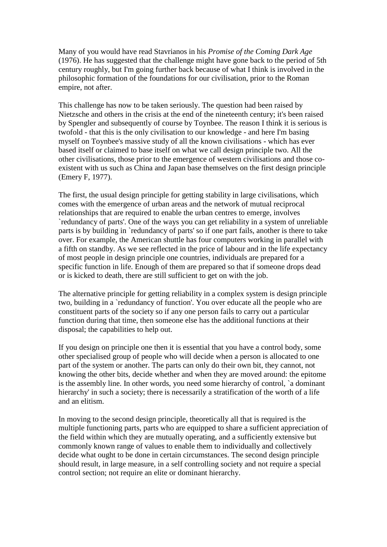Many of you would have read Stavrianos in his *Promise of the Coming Dark Age* (1976). He has suggested that the challenge might have gone back to the period of 5th century roughly, but I'm going further back because of what I think is involved in the philosophic formation of the foundations for our civilisation, prior to the Roman empire, not after.

This challenge has now to be taken seriously. The question had been raised by Nietzsche and others in the crisis at the end of the nineteenth century; it's been raised by Spengler and subsequently of course by Toynbee. The reason I think it is serious is twofold - that this is the only civilisation to our knowledge - and here I'm basing myself on Toynbee's massive study of all the known civilisations - which has ever based itself or claimed to base itself on what we call design principle two. All the other civilisations, those prior to the emergence of western civilisations and those coexistent with us such as China and Japan base themselves on the first design principle (Emery F, 1977).

The first, the usual design principle for getting stability in large civilisations, which comes with the emergence of urban areas and the network of mutual reciprocal relationships that are required to enable the urban centres to emerge, involves `redundancy of parts'. One of the ways you can get reliability in a system of unreliable parts is by building in `redundancy of parts' so if one part fails, another is there to take over. For example, the American shuttle has four computers working in parallel with a fifth on standby. As we see reflected in the price of labour and in the life expectancy of most people in design principle one countries, individuals are prepared for a specific function in life. Enough of them are prepared so that if someone drops dead or is kicked to death, there are still sufficient to get on with the job.

The alternative principle for getting reliability in a complex system is design principle two, building in a `redundancy of function'. You over educate all the people who are constituent parts of the society so if any one person fails to carry out a particular function during that time, then someone else has the additional functions at their disposal; the capabilities to help out.

If you design on principle one then it is essential that you have a control body, some other specialised group of people who will decide when a person is allocated to one part of the system or another. The parts can only do their own bit, they cannot, not knowing the other bits, decide whether and when they are moved around: the epitome is the assembly line. In other words, you need some hierarchy of control, `a dominant hierarchy' in such a society; there is necessarily a stratification of the worth of a life and an elitism.

In moving to the second design principle, theoretically all that is required is the multiple functioning parts, parts who are equipped to share a sufficient appreciation of the field within which they are mutually operating, and a sufficiently extensive but commonly known range of values to enable them to individually and collectively decide what ought to be done in certain circumstances. The second design principle should result, in large measure, in a self controlling society and not require a special control section; not require an elite or dominant hierarchy.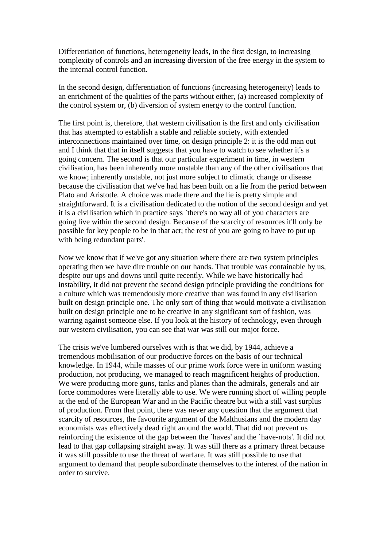Differentiation of functions, heterogeneity leads, in the first design, to increasing complexity of controls and an increasing diversion of the free energy in the system to the internal control function.

In the second design, differentiation of functions (increasing heterogeneity) leads to an enrichment of the qualities of the parts without either, (a) increased complexity of the control system or, (b) diversion of system energy to the control function.

The first point is, therefore, that western civilisation is the first and only civilisation that has attempted to establish a stable and reliable society, with extended interconnections maintained over time, on design principle 2: it is the odd man out and I think that that in itself suggests that you have to watch to see whether it's a going concern. The second is that our particular experiment in time, in western civilisation, has been inherently more unstable than any of the other civilisations that we know; inherently unstable, not just more subject to climatic change or disease because the civilisation that we've had has been built on a lie from the period between Plato and Aristotle. A choice was made there and the lie is pretty simple and straightforward. It is a civilisation dedicated to the notion of the second design and yet it is a civilisation which in practice says `there's no way all of you characters are going live within the second design. Because of the scarcity of resources it'll only be possible for key people to be in that act; the rest of you are going to have to put up with being redundant parts'.

Now we know that if we've got any situation where there are two system principles operating then we have dire trouble on our hands. That trouble was containable by us, despite our ups and downs until quite recently. While we have historically had instability, it did not prevent the second design principle providing the conditions for a culture which was tremendously more creative than was found in any civilisation built on design principle one. The only sort of thing that would motivate a civilisation built on design principle one to be creative in any significant sort of fashion, was warring against someone else. If you look at the history of technology, even through our western civilisation, you can see that war was still our major force.

The crisis we've lumbered ourselves with is that we did, by 1944, achieve a tremendous mobilisation of our productive forces on the basis of our technical knowledge. In 1944, while masses of our prime work force were in uniform wasting production, not producing, we managed to reach magnificent heights of production. We were producing more guns, tanks and planes than the admirals, generals and air force commodores were literally able to use. We were running short of willing people at the end of the European War and in the Pacific theatre but with a still vast surplus of production. From that point, there was never any question that the argument that scarcity of resources, the favourite argument of the Malthusians and the modern day economists was effectively dead right around the world. That did not prevent us reinforcing the existence of the gap between the `haves' and the `have-nots'. It did not lead to that gap collapsing straight away. It was still there as a primary threat because it was still possible to use the threat of warfare. It was still possible to use that argument to demand that people subordinate themselves to the interest of the nation in order to survive.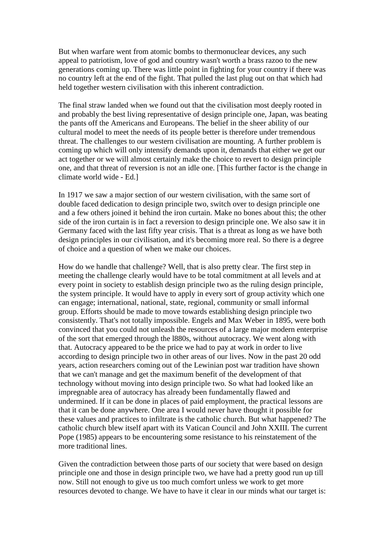But when warfare went from atomic bombs to thermonuclear devices, any such appeal to patriotism, love of god and country wasn't worth a brass razoo to the new generations coming up. There was little point in fighting for your country if there was no country left at the end of the fight. That pulled the last plug out on that which had held together western civilisation with this inherent contradiction.

The final straw landed when we found out that the civilisation most deeply rooted in and probably the best living representative of design principle one, Japan, was beating the pants off the Americans and Europeans. The belief in the sheer ability of our cultural model to meet the needs of its people better is therefore under tremendous threat. The challenges to our western civilisation are mounting. A further problem is coming up which will only intensify demands upon it, demands that either we get our act together or we will almost certainly make the choice to revert to design principle one, and that threat of reversion is not an idle one. [This further factor is the change in climate world wide - Ed.]

In 1917 we saw a major section of our western civilisation, with the same sort of double faced dedication to design principle two, switch over to design principle one and a few others joined it behind the iron curtain. Make no bones about this; the other side of the iron curtain is in fact a reversion to design principle one. We also saw it in Germany faced with the last fifty year crisis. That is a threat as long as we have both design principles in our civilisation, and it's becoming more real. So there is a degree of choice and a question of when we make our choices.

How do we handle that challenge? Well, that is also pretty clear. The first step in meeting the challenge clearly would have to be total commitment at all levels and at every point in society to establish design principle two as the ruling design principle, the system principle. It would have to apply in every sort of group activity which one can engage; international, national, state, regional, community or small informal group. Efforts should be made to move towards establishing design principle two consistently. That's not totally impossible. Engels and Max Weber in 1895, were both convinced that you could not unleash the resources of a large major modern enterprise of the sort that emerged through the l880s, without autocracy. We went along with that. Autocracy appeared to be the price we had to pay at work in order to live according to design principle two in other areas of our lives. Now in the past 20 odd years, action researchers coming out of the Lewinian post war tradition have shown that we can't manage and get the maximum benefit of the development of that technology without moving into design principle two. So what had looked like an impregnable area of autocracy has already been fundamentally flawed and undermined. If it can be done in places of paid employment, the practical lessons are that it can be done anywhere. One area I would never have thought it possible for these values and practices to infiltrate is the catholic church. But what happened? The catholic church blew itself apart with its Vatican Council and John XXIII. The current Pope (1985) appears to be encountering some resistance to his reinstatement of the more traditional lines.

Given the contradiction between those parts of our society that were based on design principle one and those in design principle two, we have had a pretty good run up till now. Still not enough to give us too much comfort unless we work to get more resources devoted to change. We have to have it clear in our minds what our target is: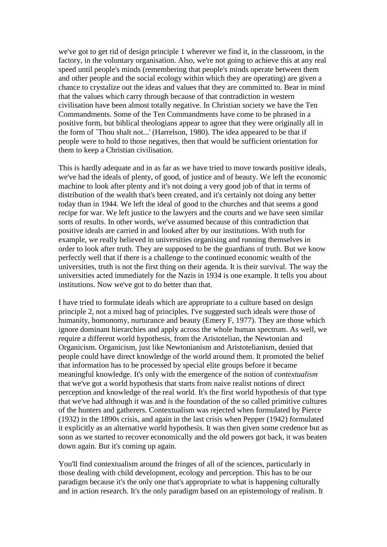we've got to get rid of design principle 1 wherever we find it, in the classroom, in the factory, in the voluntary organisation. Also, we're not going to achieve this at any real speed until people's minds (remembering that people's minds operate between them and other people and the social ecology within which they are operating) are given a chance to crystalize out the ideas and values that they are committed to. Bear in mind that the values which carry through because of that contradiction in western civilisation have been almost totally negative. In Christian society we have the Ten Commandments. Some of the Ten Commandments have come to be phrased in a positive form, but biblical theologians appear to agree that they were originally all in the form of `Thou shalt not...' (Harrelson, 1980). The idea appeared to be that if people were to hold to those negatives, then that would be sufficient orientation for them to keep a Christian civilisation.

This is hardly adequate and in as far as we have tried to move towards positive ideals, we've had the ideals of plenty, of good, of justice and of beauty. We left the economic machine to look after plenty and it's not doing a very good job of that in terms of distribution of the wealth that's been created, and it's certainly not doing any better today than in 1944. We left the ideal of good to the churches and that seems a good recipe for war. We left justice to the lawyers and the courts and we have seen similar sorts of results. In other words, we've assumed because of this contradiction that positive ideals are carried in and looked after by our institutions. With truth for example, we really believed in universities organising and running themselves in order to look after truth. They are supposed to be the guardians of truth. But we know perfectly well that if there is a challenge to the continued economic wealth of the universities, truth is not the first thing on their agenda. It is their survival. The way the universities acted immediately for the Nazis in 1934 is one example. It tells you about institutions. Now we've got to do better than that.

I have tried to formulate ideals which are appropriate to a culture based on design principle 2, not a mixed bag of principles. I've suggested such ideals were those of humanity, homonomy, nurturance and beauty (Emery F, 1977). They are those which ignore dominant hierarchies and apply across the whole human spectrum. As well, we require a different world hypothesis, from the Aristotelian, the Newtonian and Organicism. Organicism, just like Newtonianism and Aristotelianism, denied that people could have direct knowledge of the world around them. It promoted the belief that information has to be processed by special elite groups before it became meaningful knowledge. It's only with the emergence of the notion of *contextualism* that we've got a world hypothesis that starts from naive realist notions of direct perception and knowledge of the real world. It's the first world hypothesis of that type that we've had although it was and is the foundation of the so called primitive cultures of the hunters and gatherers. Contextualism was rejected when formulated by Pierce (1932) in the 1890s crisis, and again in the last crisis when Pepper (1942) formulated it explicitly as an alternative world hypothesis. It was then given some credence but as soon as we started to recover economically and the old powers got back, it was beaten down again. But it's coming up again.

You'll find contextualism around the fringes of all of the sciences, particularly in those dealing with child development, ecology and perception. This has to be our paradigm because it's the only one that's appropriate to what is happening culturally and in action research. It's the only paradigm based on an epistemology of realism. It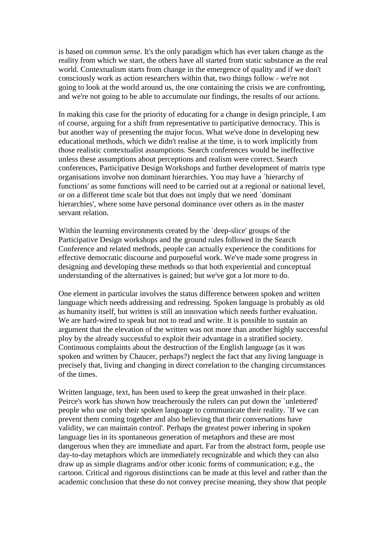is based on *common sense.* It's the only paradigm which has ever taken change as the reality from which we start, the others have all started from static substance as the real world. Contextualism starts from change in the emergence of quality and if we don't consciously work as action researchers within that, two things follow - we're not going to look at the world around us, the one containing the crisis we are confronting, and we're not going to be able to accumulate our findings, the results of our actions.

In making this case for the priority of educating for a change in design principle, I am of course, arguing for a shift from representative to participative democracy. This is but another way of presenting the major focus. What we've done in developing new educational methods, which we didn't realise at the time, is to work implicitly from those realistic contextualist assumptions. Search conferences would be ineffective unless these assumptions about perceptions and realism were correct. Search conferences, Participative Design Workshops and further development of matrix type organisations involve non dominant hierarchies. You may have a `hierarchy of functions' as some functions will need to be carried out at a regional or national level, or on a different time scale but that does not imply that we need `dominant hierarchies', where some have personal dominance over others as in the master servant relation.

Within the learning environments created by the `deep-slice' groups of the Participative Design workshops and the ground rules followed in the Search Conference and related methods, people can actually experience the conditions for effective democratic discourse and purposeful work. We've made some progress in designing and developing these methods so that both experiential and conceptual understanding of the alternatives is gained; but we've got a lot more to do.

One element in particular involves the status difference between spoken and written language which needs addressing and redressing. Spoken language is probably as old as humanity itself, but written is still an innovation which needs further evaluation. We are hard-wired to speak but not to read and write. It is possible to sustain an argument that the elevation of the written was not more than another highly successful ploy by the already successful to exploit their advantage in a stratified society. Continuous complaints about the destruction of the English language (as it was spoken and written by Chaucer, perhaps?) neglect the fact that any living language is precisely that, living and changing in direct correlation to the changing circumstances of the times.

Written language, text, has been used to keep the great unwashed in their place. Peirce's work has shown how treacherously the rulers can put down the `unlettered' people who use only their spoken language to communicate their reality. `If we can prevent them coming together and also believing that their conversations have validity, we can maintain control'. Perhaps the greatest power inhering in spoken language lies in its spontaneous generation of metaphors and these are most dangerous when they are immediate and apart. Far from the abstract form, people use day-to-day metaphors which are immediately recognizable and which they can also draw up as simple diagrams and/or other iconic forms of communication; e.g., the cartoon. Critical and rigorous distinctions can be made at this level and rather than the academic conclusion that these do not convey precise meaning, they show that people